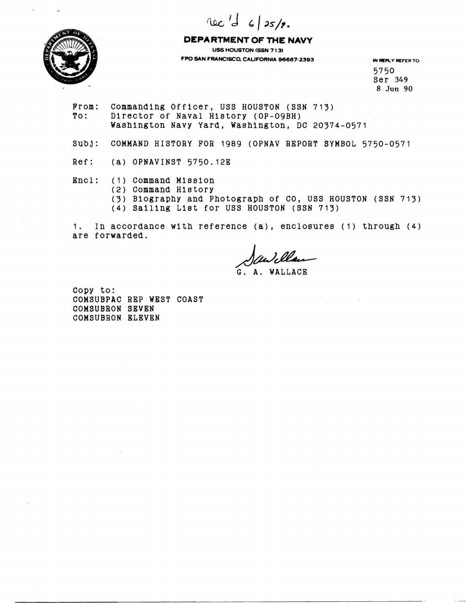rec 'd 6/25/2.



**DEPARTMENT OF THE NAVY US HOUSTON (SSN 7 1 3) FPO SAN FRANCISCO, CALIFORNIA 96667-2393 IN REPLY REFER TO:** 

5750 Ser 349 8 Jun **90** 

From: Commanding Officer, USS HOUSTON (SSN 713)<br>To: Director of Naval History (OP-09BH) Director of Naval History (OP-09BH) Washington Navy Yard, Washington, DC 20374-0571

SUbj: COMMAND HISTORY FOR 1989 (OPNAV REPORT SYMBOL 5750-0571

Ref: (a) OPNAVINST 5750.12E

Encl: (1) Command Mission

(2) Command History

(3) Biography and Photograph of CO, uss HOUSTON (SSN 713)

(4) Sailing Llat for USS HOUSTON (SSN 713)

1. In accordance with reference **(a),** encloaurea (1) through (4) are forwarded.

G. A. WALLACE

Copy to: COMSUBPAC REP WEST COAST COMSUBRON SEVEN COMSUBRON ELEVEN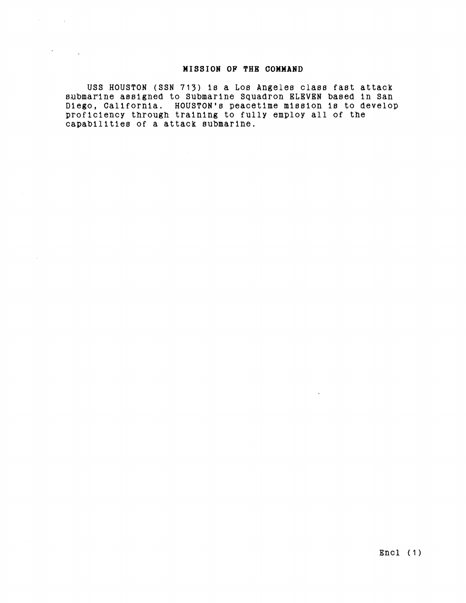## MISSION OF THE COMMAND

USS HOUSTON (SSN 713) is a Los Angeles class fast attack submarine assigned to Submarine Squadron ELEVEN based in San Diego, California. HOUSTON's peacetime mission is to develop proficiency through training to fully employ all of the capabilities of a attack submarine.

 $\sim 10^{-1}$  km  $^{-1}$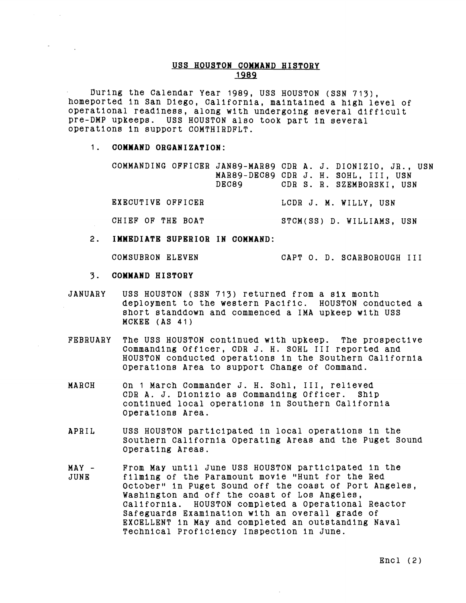## **USS HOUSTON COWWAND HISTORY**  1989

During the Calendar Year 1989, USS HOUSTON (SSN 713), homeported in San Diego, California, maintained a high level of operational readiness, along with undergoing several difficult pre-DMP upkeeps. USS HOUSTON also took part in Several operations in support COMTHIRDFLT.

## 1. **COMMAND ORGANIZATION:**

|  |       |  | COMMANDING OFFICER JAN89-MAR89 CDR A. J. DIONIZIO, JR., USN |
|--|-------|--|-------------------------------------------------------------|
|  |       |  | MAR89-DEC89 CDR J. H. SOHL, III, USN                        |
|  | DEC89 |  | CDR S. R. SZEMBORSKI, USN                                   |

EXECUTIVE OFFICER LCDR J. M. WILLY, USN

CHIEF OF THE BOAT STCM(SS) D. WILLIAMS, USN

**2. IMMEDIATE SUPERIOR IN COMMAND:** 

COMSUBRON ELEVEN CAPT 0. D. SCARBOROUGH I11

- 3. **COMMAND HISTORY**
- JANUARY USS HOUSTON (SSN 713) returned from a six month deployment to the western Pacific. HOUSTON conducted a short standdown and commenced a IMA upkeep with USS MCKEE (AS 41)
- FEBRUARY The USS HOUSTON continued with upkeep. The prospective Commanding Officer, CDR J. H. SOHL I11 reported and HOUSTON conducted operations in the Southern California Operations Area to aupport Change of Command.
- MARCH On 1 March Commander J. H. Sohl, 111, relieved CDR A. J. Dionizio as Commanding Officer. Ship continued local operations in Southern California Operations Area.
- APRIL USS HOUSTON participated in local operatlons in the Southern California Operating Areas and the Puget Sound Operating Areas.
- MAY From May until June USS HOUSTON participated In the filming of the Paramount movie "Hunt for the Red October" in Puget Sound off the coast of Port Angeles, Washington and off the coast of Los Angeles, California. HOUSTON completed a Operational Reactor Safeguards Examination with an overall grade of EXCELLENT In May and completed an outstanding Naval Technical Proficiency Inspection in June.

Encl (2)